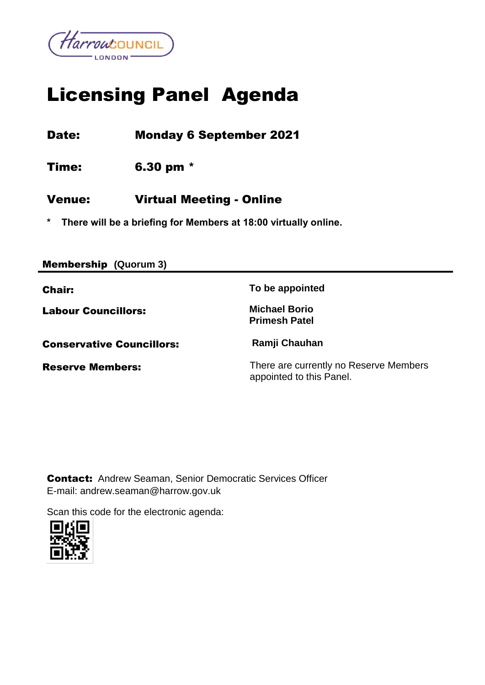

# Licensing Panel Agenda

Date: Monday 6 September 2021

Time: 6.30 pm \*

## Venue: Virtual Meeting - Online

**\* There will be a briefing for Members at 18:00 virtually online.**

| <b>Membership (Quorum 3)</b>     |                                                                    |
|----------------------------------|--------------------------------------------------------------------|
| <b>Chair:</b>                    | To be appointed                                                    |
| <b>Labour Councillors:</b>       | <b>Michael Borio</b><br><b>Primesh Patel</b>                       |
| <b>Conservative Councillors:</b> | Ramji Chauhan                                                      |
| <b>Reserve Members:</b>          | There are currently no Reserve Members<br>appointed to this Panel. |

Contact:Andrew Seaman, Senior Democratic Services Officer E-mail: andrew.seaman@harrow.gov.uk

Scan this code for the electronic agenda:

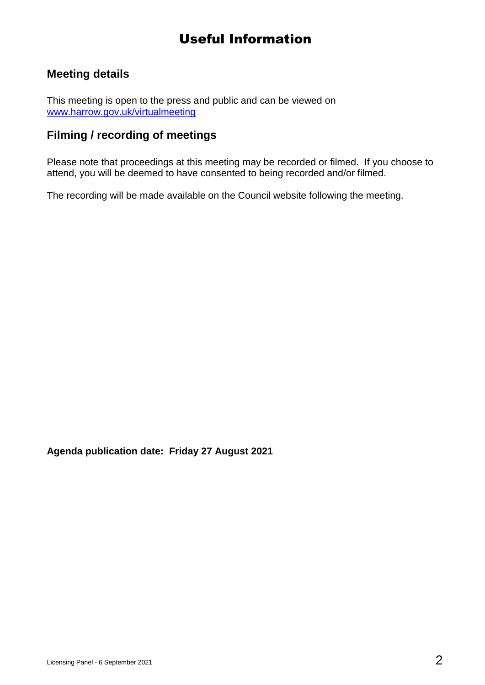# Useful Information

## **Meeting details**

This meeting is open to the press and public and can be viewed on [www.harrow.gov.uk/virtualmeeting](http://www.harrow.gov.uk/virtualmeeting)

### **Filming / recording of meetings**

Please note that proceedings at this meeting may be recorded or filmed. If you choose to attend, you will be deemed to have consented to being recorded and/or filmed.

The recording will be made available on the Council website following the meeting.

**Agenda publication date: Friday 27 August 2021**